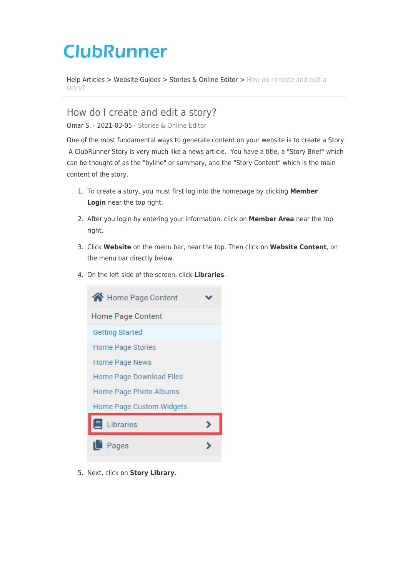# **ClubRunner**

[Help Articles](https://www.clubrunnersupport.com/kb) > [Website Guides](https://www.clubrunnersupport.com/kb/website-guides) > [Stories & Online Editor](https://www.clubrunnersupport.com/kb/stories-online-editor) > [How do I create and edit a](https://www.clubrunnersupport.com/kb/articles/how-do-i-create-and-edit-a-story) [story?](https://www.clubrunnersupport.com/kb/articles/how-do-i-create-and-edit-a-story)

How do I create and edit a story? Omar S. - 2021-03-05 - [Stories & Online Editor](https://www.clubrunnersupport.com/kb/stories-online-editor)

One of the most fundamental ways to generate content on your website is to create a Story. A ClubRunner Story is very much like a news article. You have a title, a "Story Brief" which can be thought of as the "byline" or summary, and the "Story Content" which is the main content of the story.

- 1. To create a story, you must first log into the homepage by clicking **Member Login** near the top right.
- 2. After you login by entering your information, click on **Member Area** near the top right.
- 3. Click **Website** on the menu bar, near the top. Then click on **Website Content**, on the menu bar directly below.
- 4. On the left side of the screen, click **Libraries**.



5. Next, click on **Story Library**.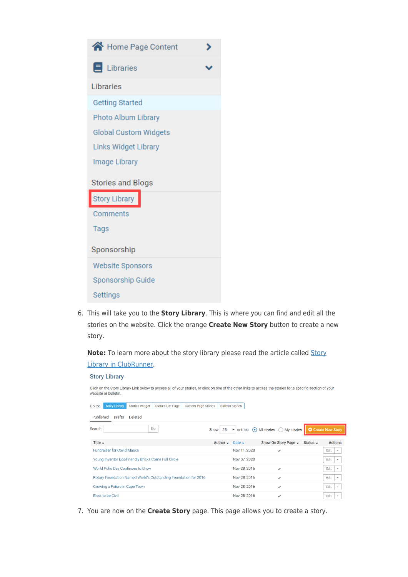

6. This will take you to the **Story Library**. This is where you can find and edit all the stories on the website. Click the orange **Create New Story** button to create a new story.

Note: To learn more about the story library please read the article called [Story](https://clubrunnersupport.com/kb/articles/160) [Library in ClubRunner](https://clubrunnersupport.com/kb/articles/160).

#### **Story Library** Click on the Story Library Link below to access all of your stories, or click on one of the other links to access the stories for a specific section of your website or bulletin Go to: Story Library Stories Widget Stories List Page Custom Page Stories Bulletin Stories Published Drafts Deleted Search: Go Show 25 v entries All stories My stories C Create New Story Title  $\div$ Author  $\bullet$  Date  $\bullet$ Show On Story Page → Status → Actions Nov 11, 2020 Edit  $\overline{\phantom{a}}$ **Fundraiser for Covid Masks**  $\checkmark$ Young Inventor Eco-Friendly Bricks Come Full Circle Nov 07, 2020 Edit  $\overline{\phantom{a}}$ Edit  $\overline{\phantom{a}}$ World Polio Day Continues to Grow Nov 28, 2016  $\overline{ }$ Rotary Foundation Named World's Outstanding Foundation for 2016 Nov 28, 2016  $\checkmark$ Edit  $\rightarrow$ Growing a Future in Cape Town Nov 28, 2016  $Edit \rightarrow$ Edit  $\overline{\phantom{a}}$ Elect to be Civil Nov 28, 2016  $\checkmark$

7. You are now on the **Create Story** page. This page allows you to create a story.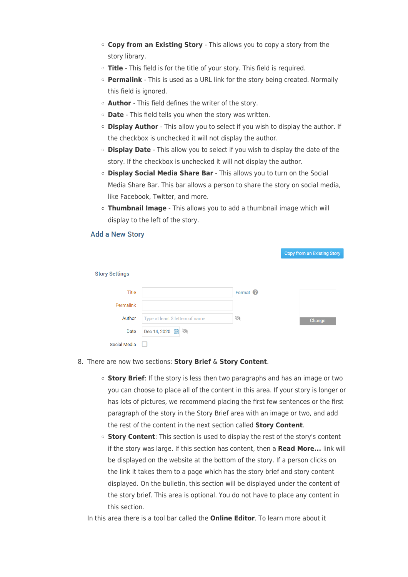- **Copy from an Existing Story**  This allows you to copy a story from the story library.
- **Title** This field is for the title of your story. This field is required.
- **Permalink** This is used as a URL link for the story being created. Normally this field is ignored.
- **Author**  This field defines the writer of the story.
- **Date** This field tells you when the story was written.
- **Display Author**  This allow you to select if you wish to display the author. If the checkbox is unchecked it will not display the author.
- **Display Date** This allow you to select if you wish to display the date of the story. If the checkbox is unchecked it will not display the author.
- **Display Social Media Share Bar** This allows you to turn on the Social Media Share Bar. This bar allows a person to share the story on social media, like Facebook, Twitter, and more.
- **Thumbnail Image** This allows you to add a thumbnail image which will display to the left of the story.

## **Add a New Story**

|                       |                                 |                     | Copy from an Existing Story |
|-----------------------|---------------------------------|---------------------|-----------------------------|
| <b>Story Settings</b> |                                 |                     |                             |
| Title                 |                                 | Format <sup>2</sup> |                             |
| Permalink             |                                 |                     |                             |
| Author                | Type at least 3 letters of name | Ø                   | Change                      |
| Date                  | Dec 14, 2020 图 《                |                     |                             |
| <b>Social Media</b>   |                                 |                     |                             |

- 8. There are now two sections: **Story Brief** & **Story Content**.
	- **Story Brief**: If the story is less then two paragraphs and has an image or two you can choose to place all of the content in this area. If your story is longer or has lots of pictures, we recommend placing the first few sentences or the first paragraph of the story in the Story Brief area with an image or two, and add the rest of the content in the next section called **Story Content**.
	- **Story Content**: This section is used to display the rest of the story's content if the story was large. If this section has content, then a **Read More...** link will be displayed on the website at the bottom of the story. If a person clicks on the link it takes them to a page which has the story brief and story content displayed. On the bulletin, this section will be displayed under the content of the story brief. This area is optional. You do not have to place any content in this section.

In this area there is a tool bar called the **Online Editor**. To learn more about it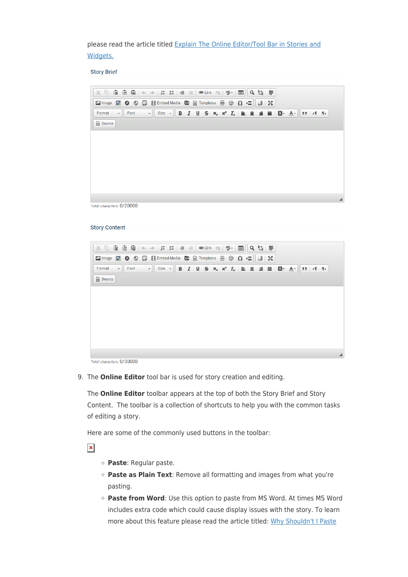please read the article titled [Explain The Online Editor/Tool Bar in Stories and](https://clubrunnersupport.com/kb/articles/153) [Widgets.](https://clubrunnersupport.com/kb/articles/153)

**Story Brief** 

| $\mathbb{X} \oplus \mathbb{G}$ $\mathbb{G} \oplus \mathbb{G} \mid \mathbb{A} \rightarrow \mid \mathbb{H} \coloneqq \mid \mathbb{H} \oplus \mathbb{H} \oplus \mathbb{H}$ . $\mathbb{E} \otimes \mid \mathbb{V} \cap \mathbb{H} \mid \mid \mathsf{Q} \downarrow$ |                            |                                                                                                                                 |  |  |  |  |  |                   |  |  |  |  |
|----------------------------------------------------------------------------------------------------------------------------------------------------------------------------------------------------------------------------------------------------------------|----------------------------|---------------------------------------------------------------------------------------------------------------------------------|--|--|--|--|--|-------------------|--|--|--|--|
| <b>Ex Image</b> $\blacksquare$ <b>O</b> $\lozenge$ $\blacksquare$ <b>Ex Embed Media</b> $\blacksquare$ <b>Ex Templates</b> $\blacksquare$ $\heartsuit$ $\Omega \triangleright \blacksquare$                                                                    |                            |                                                                                                                                 |  |  |  |  |  | $\frac{1}{20}$ 23 |  |  |  |  |
| Format                                                                                                                                                                                                                                                         | $\blacktriangleright$ Font | $\cdot$ Size $\cdot$ B $I \cup S$ $\times_{z} \times^{z} I_{x} \equiv \pm \pm \equiv \Box \cdot A \cdot$ 99 $\cdot$ 1 1 $\cdot$ |  |  |  |  |  |                   |  |  |  |  |
| Source                                                                                                                                                                                                                                                         |                            |                                                                                                                                 |  |  |  |  |  |                   |  |  |  |  |
|                                                                                                                                                                                                                                                                |                            |                                                                                                                                 |  |  |  |  |  |                   |  |  |  |  |
|                                                                                                                                                                                                                                                                |                            |                                                                                                                                 |  |  |  |  |  |                   |  |  |  |  |
|                                                                                                                                                                                                                                                                |                            |                                                                                                                                 |  |  |  |  |  |                   |  |  |  |  |
|                                                                                                                                                                                                                                                                |                            |                                                                                                                                 |  |  |  |  |  |                   |  |  |  |  |
|                                                                                                                                                                                                                                                                |                            |                                                                                                                                 |  |  |  |  |  |                   |  |  |  |  |
|                                                                                                                                                                                                                                                                |                            |                                                                                                                                 |  |  |  |  |  |                   |  |  |  |  |
|                                                                                                                                                                                                                                                                |                            |                                                                                                                                 |  |  |  |  |  |                   |  |  |  |  |
|                                                                                                                                                                                                                                                                | $\frac{1}{2}$              |                                                                                                                                 |  |  |  |  |  |                   |  |  |  |  |

Total characters: 0/20000

#### **Story Content**

| $36\%$ $\odot$ $\odot$ $\odot$ $\odot$ $\odot$ $\odot$ $\odot$ $\rightarrow$ $\downarrow$ $\equiv$ $\leftarrow$ $\leftarrow$ $\leftarrow$ $\leftarrow$ $\leftarrow$ $\leftarrow$ $\leftarrow$ $\leftarrow$ $\leftarrow$ $\leftarrow$ $\leftarrow$ $\leftarrow$ $\leftarrow$ $\leftarrow$ $\leftarrow$ $\leftarrow$ $\leftarrow$ $\leftarrow$ $\leftarrow$ $\leftarrow$ $\leftarrow$ $\leftarrow$ $\leftarrow$ $\leftarrow$ $\leftarrow$ $\leftarrow$ |                   |  |  |  |  | $\boxplus$ | $Q$ $\frac{1}{2}$ $\equiv$ |                |  |                                                                                                                                                                                                                                                                                                                                     |  |
|------------------------------------------------------------------------------------------------------------------------------------------------------------------------------------------------------------------------------------------------------------------------------------------------------------------------------------------------------------------------------------------------------------------------------------------------------|-------------------|--|--|--|--|------------|----------------------------|----------------|--|-------------------------------------------------------------------------------------------------------------------------------------------------------------------------------------------------------------------------------------------------------------------------------------------------------------------------------------|--|
| <b>Ex Image</b> $\blacksquare$ <b>O</b> $\lozenge$ $\blacksquare$ <b>E</b> Embed Media $\blacksquare$ <b>E</b> Templates $\blacksquare$ $\heartsuit$ $\Omega \vDash$                                                                                                                                                                                                                                                                                 |                   |  |  |  |  |            |                            | $\frac{1}{20}$ |  |                                                                                                                                                                                                                                                                                                                                     |  |
| Format                                                                                                                                                                                                                                                                                                                                                                                                                                               | $\mathbf{F}$ Font |  |  |  |  |            |                            |                |  | $\mathbf{v}$ Size $\mathbf{v}$ B I U S $\mathbf{x}_2$ $\mathbf{x}^2$ $\mathbf{I}_\mathbf{x}$ $\mathbf{E}$ $\mathbf{E}$ $\mathbf{E}$ $\mathbf{E}$ $\mathbf{E}$ $\mathbf{E}$ $\mathbf{E}$ $\mathbf{E}$ $\mathbf{E}$ $\mathbf{E}$ $\mathbf{E}$ $\mathbf{E}$ $\mathbf{E}$ $\mathbf{E}$ $\mathbf{E}$ $\mathbf{E}$ $\mathbf{E}$ $\mathbf$ |  |
| Source                                                                                                                                                                                                                                                                                                                                                                                                                                               |                   |  |  |  |  |            |                            |                |  |                                                                                                                                                                                                                                                                                                                                     |  |
|                                                                                                                                                                                                                                                                                                                                                                                                                                                      |                   |  |  |  |  |            |                            |                |  |                                                                                                                                                                                                                                                                                                                                     |  |
|                                                                                                                                                                                                                                                                                                                                                                                                                                                      |                   |  |  |  |  |            |                            |                |  |                                                                                                                                                                                                                                                                                                                                     |  |
|                                                                                                                                                                                                                                                                                                                                                                                                                                                      |                   |  |  |  |  |            |                            |                |  |                                                                                                                                                                                                                                                                                                                                     |  |
|                                                                                                                                                                                                                                                                                                                                                                                                                                                      |                   |  |  |  |  |            |                            |                |  |                                                                                                                                                                                                                                                                                                                                     |  |
|                                                                                                                                                                                                                                                                                                                                                                                                                                                      |                   |  |  |  |  |            |                            |                |  |                                                                                                                                                                                                                                                                                                                                     |  |
|                                                                                                                                                                                                                                                                                                                                                                                                                                                      |                   |  |  |  |  |            |                            |                |  |                                                                                                                                                                                                                                                                                                                                     |  |
|                                                                                                                                                                                                                                                                                                                                                                                                                                                      |                   |  |  |  |  |            |                            |                |  |                                                                                                                                                                                                                                                                                                                                     |  |

Total characters: 0/30000

9. The **Online Editor** tool bar is used for story creation and editing.

The **Online Editor** toolbar appears at the top of both the Story Brief and Story Content. The toolbar is a collection of shortcuts to help you with the common tasks of editing a story.

Here are some of the commonly used buttons in the toolbar:

 $\pmb{\times}$ 

- **Paste**: Regular paste.
- **Paste as Plain Text**: Remove all formatting and images from what you're pasting.
- **Paste from Word**: Use this option to paste from MS Word. At times MS Word includes extra code which could cause display issues with the story. To learn more about this feature please read the article titled: [Why Shouldn't I Paste](https://clubrunnersupport.com/kb/articles/why-shouldn-t-i-paste-from-word-directly)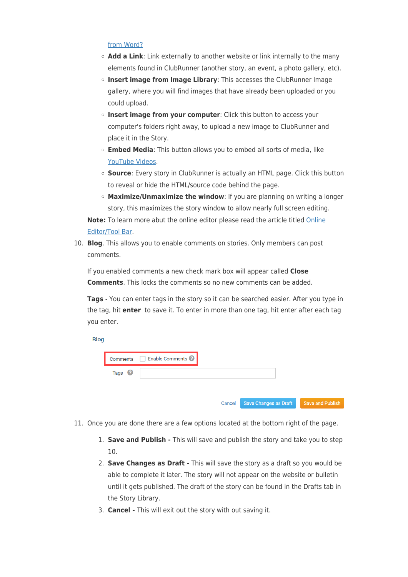### [from Word?](https://clubrunnersupport.com/kb/articles/why-shouldn-t-i-paste-from-word-directly)

 $\sim$ 

- **Add a Link**: Link externally to another website or link internally to the many elements found in ClubRunner (another story, an event, a photo gallery, etc).
- **Insert image from Image Library**: This accesses the ClubRunner Image gallery, where you will find images that have already been uploaded or you could upload.
- **Insert image from your computer**: Click this button to access your computer's folders right away, to upload a new image to ClubRunner and place it in the Story.
- **Embed Media**: This button allows you to embed all sorts of media, like [YouTube Videos.](https://clubrunnersupport.com/kb/articles/164)
- **Source**: Every story in ClubRunner is actually an HTML page. Click this button to reveal or hide the HTML/source code behind the page.
- **Maximize/Unmaximize the window**: If you are planning on writing a longer story, this maximizes the story window to allow nearly full screen editing.

**Note:** To learn more abut the online editor please read the article titled [Online](https://clubrunnersupport.com/kb/articles/153) [Editor/Tool Bar.](https://clubrunnersupport.com/kb/articles/153)

10. **Blog**. This allows you to enable comments on stories. Only members can post comments.

If you enabled comments a new check mark box will appear called **Close Comments**. This locks the comments so no new comments can be added.

**Tags** - You can enter tags in the story so it can be searched easier. After you type in the tag, hit **enter** to save it. To enter in more than one tag, hit enter after each tag you enter.

| <b>BIOG</b> |                   |                              |        |                       |                  |
|-------------|-------------------|------------------------------|--------|-----------------------|------------------|
|             | Comments          | Enable Comments <sup>2</sup> |        |                       |                  |
|             | Tags <sup>8</sup> |                              |        |                       |                  |
|             |                   |                              |        |                       |                  |
|             |                   |                              | Cancel | Save Changes as Draft | Save and Publish |

- 11. Once you are done there are a few options located at the bottom right of the page.
	- 1. **Save and Publish** This will save and publish the story and take you to step 10.
	- 2. **Save Changes as Draft** This will save the story as a draft so you would be able to complete it later. The story will not appear on the website or bulletin until it gets published. The draft of the story can be found in the Drafts tab in the Story Library.
	- 3. **Cancel** This will exit out the story with out saving it.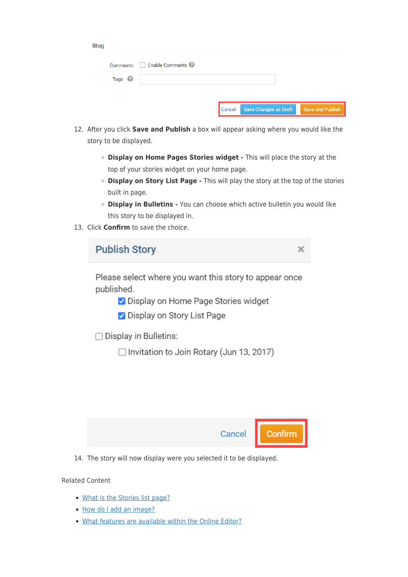| <b>Blog</b>       |                 |        |                       |                  |
|-------------------|-----------------|--------|-----------------------|------------------|
| Comments          | Enable Comments |        |                       |                  |
| Tags <sup>?</sup> |                 |        |                       |                  |
|                   |                 |        |                       |                  |
|                   |                 | Cancel | Save Changes as Draft | Save and Publish |

- 12. After you click **Save and Publish** a box will appear asking where you would like the story to be displayed.
	- **Display on Home Pages Stories widget** This will place the story at the top of your stories widget on your home page.
	- **Display on Story List Page** This will play the story at the top of the stories built in page.
	- **Display in Bulletins** You can choose which active bulletin you would like this story to be displayed in.
- 13. Click **Confirm** to save the choice.

| <b>Publish Story</b>                                                                                                                          |  |
|-----------------------------------------------------------------------------------------------------------------------------------------------|--|
| Please select where you want this story to appear once<br>published.<br>✔ Display on Home Page Stories widget<br>✔ Display on Story List Page |  |
| $\Box$ Display in Bulletins:<br>□ Invitation to Join Rotary (Jun 13, 2017)                                                                    |  |

| Cancel | Confirm |
|--------|---------|
|--------|---------|

14. The story will now display were you selected it to be displayed.

Related Content

- [What is the Stories list page?](https://www.clubrunnersupport.com/kb/articles/what-is-the-stories-list-page)
- [How do I add an image?](https://www.clubrunnersupport.com/kb/articles/how-do-i-add-an-image)
- [What features are available within the Online Editor?](https://www.clubrunnersupport.com/kb/articles/what-features-are-available-within-the-online-editor)